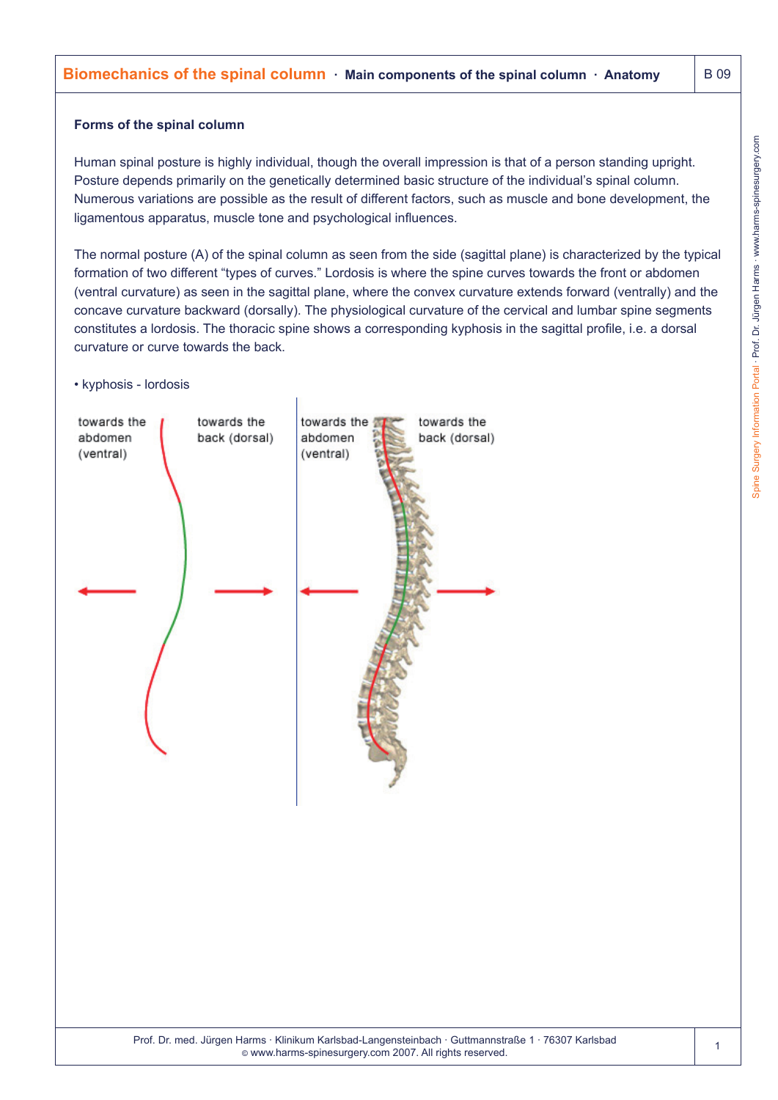# **Biomechanics of the spinal column**  $\cdot$  Main components of the spinal column  $\cdot$  Anatomy  $\vert$  B 09

#### **Forms of the spinal column**

Human spinal posture is highly individual, though the overall impression is that of a person standing upright. Posture depends primarily on the genetically determined basic structure of the individual's spinal column. Numerous variations are possible as the result of different factors, such as muscle and bone development, the ligamentous apparatus, muscle tone and psychological influences.

The normal posture (A) of the spinal column as seen from the side (sagittal plane) is characterized by the typical formation of two different "types of curves." Lordosis is where the spine curves towards the front or abdomen (ventral curvature) as seen in the sagittal plane, where the convex curvature extends forward (ventrally) and the concave curvature backward (dorsally). The physiological curvature of the cervical and lumbar spine segments constitutes a lordosis. The thoracic spine shows a corresponding kyphosis in the sagittal profile, i.e. a dorsal curvature or curve towards the back.

#### • kyphosis - lordosis

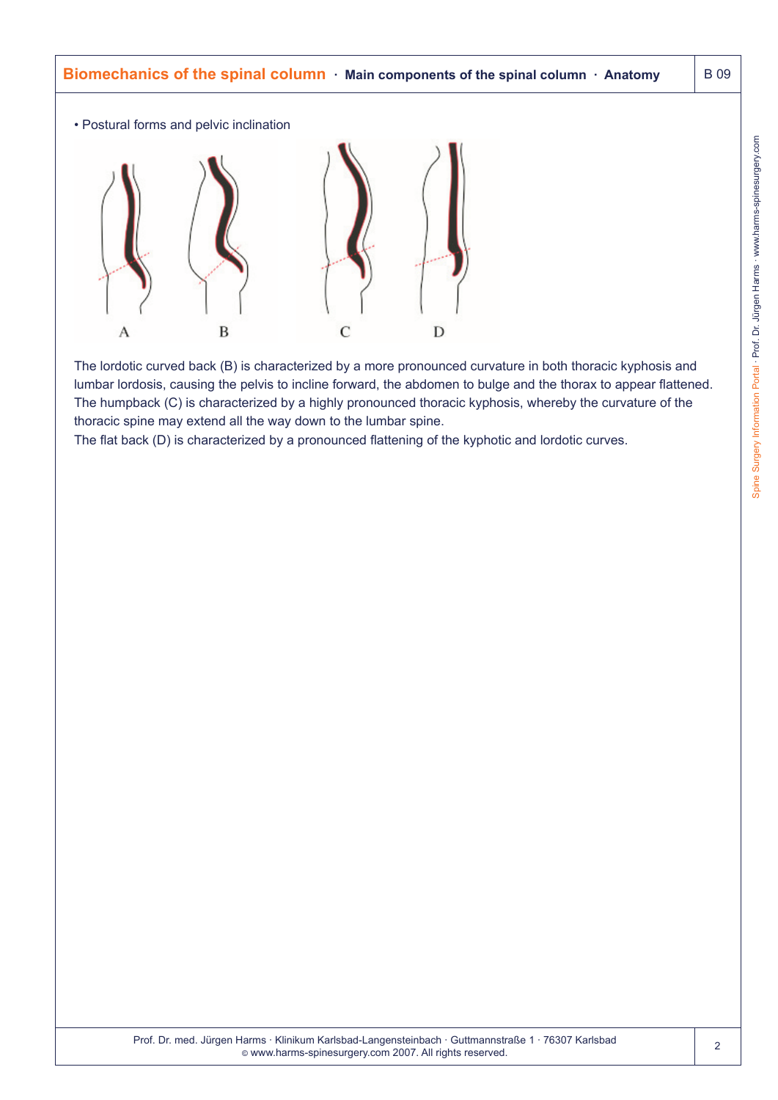

The lordotic curved back (B) is characterized by a more pronounced curvature in both thoracic kyphosis and lumbar lordosis, causing the pelvis to incline forward, the abdomen to bulge and the thorax to appear flattened. The humpback (C) is characterized by a highly pronounced thoracic kyphosis, whereby the curvature of the thoracic spine may extend all the way down to the lumbar spine.

The flat back (D) is characterized by a pronounced flattening of the kyphotic and lordotic curves.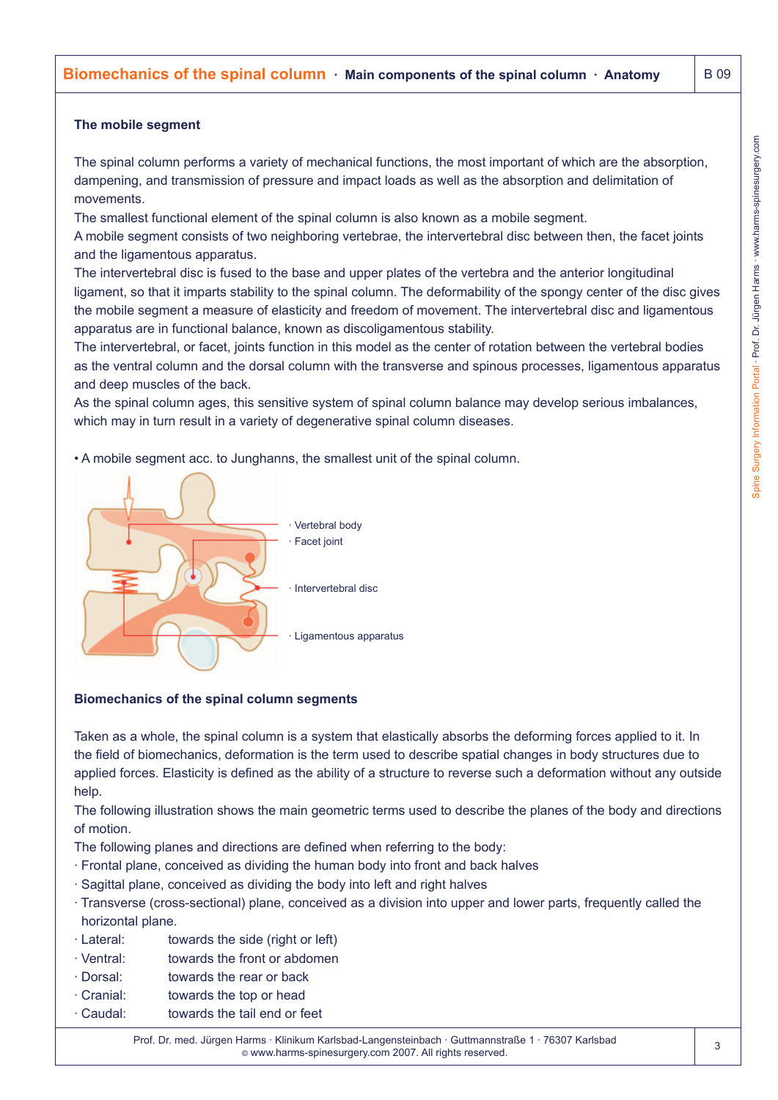The spinal column performs a variety of mechanical functions, the most important of which are the absorption, dampening, and transmission of pressure and impact loads as well as the absorption and delimitation of movements.

The smallest functional element of the spinal column is also known as a mobile segment.

A mobile segment consists of two neighboring vertebrae, the intervertebral disc between then, the facet joints and the ligamentous apparatus.

The intervertebral disc is fused to the base and upper plates of the vertebra and the anterior longitudinal ligament, so that it imparts stability to the spinal column. The deformability of the spongy center of the disc gives the mobile segment a measure of elasticity and freedom of movement. The intervertebral disc and ligamentous apparatus are in functional balance, known as discoligamentous stability.

The intervertebral, or facet, joints function in this model as the center of rotation between the vertebral bodies as the ventral column and the dorsal column with the transverse and spinous processes, ligamentous apparatus and deep muscles of the back.

As the spinal column ages, this sensitive system of spinal column balance may develop serious imbalances, which may in turn result in a variety of degenerative spinal column diseases.

• A mobile segment acc. to Junghanns, the smallest unit of the spinal column.



### **Biomechanics of the spinal column segments**

Taken as a whole, the spinal column is a system that elastically absorbs the deforming forces applied to it. In the field of biomechanics, deformation is the term used to describe spatial changes in body structures due to applied forces. Elasticity is defined as the ability of a structure to reverse such a deformation without any outside help.

The following illustration shows the main geometric terms used to describe the planes of the body and directions of motion.

The following planes and directions are defined when referring to the body:

- · Frontal plane, conceived as dividing the human body into front and back halves
- · Sagittal plane, conceived as dividing the body into left and right halves
- · Transverse (cross-sectional) plane, conceived as a division into upper and lower parts, frequently called the horizontal plane.
- · Lateral: towards the side (right or left)
- · Ventral: towards the front or abdomen
- · Dorsal: towards the rear or back
- · Cranial: towards the top or head
- · Caudal: towards the tail end or feet

Prof. Dr. med. Jürgen Harms · Klinikum Karlsbad-Langensteinbach · Guttmannstraße 1 · 76307 Karlsbad © www.harms-spinesurgery.com 2007. All rights reserved.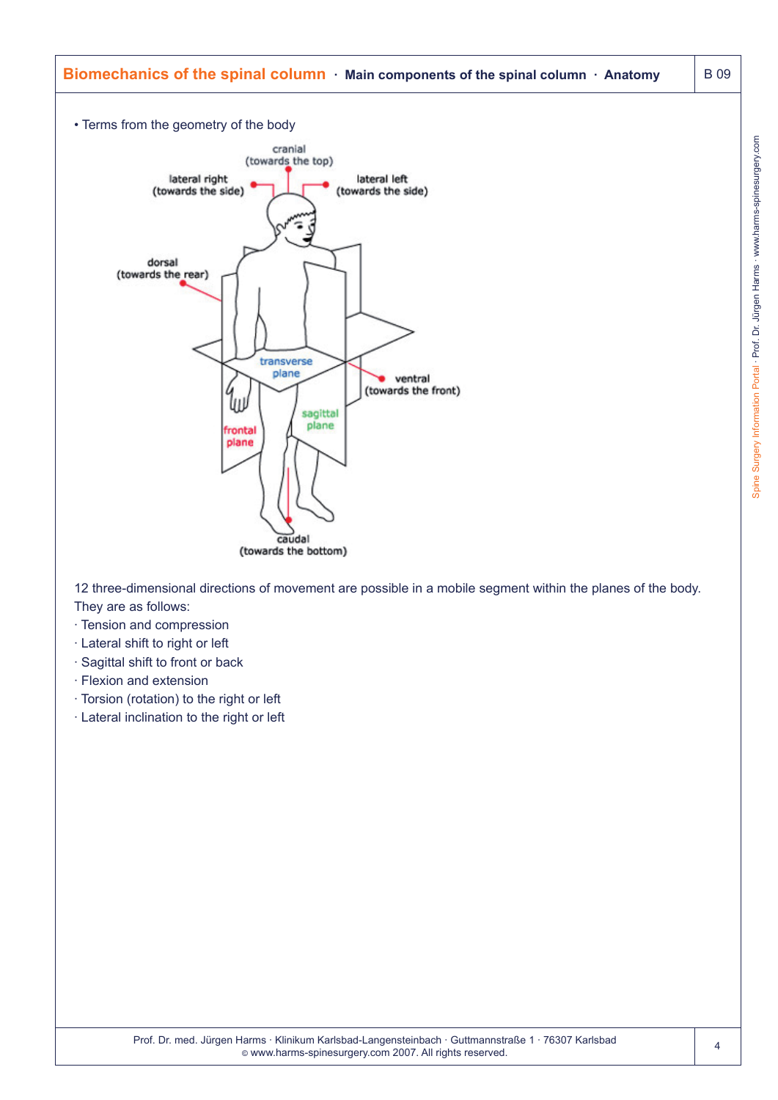

12 three-dimensional directions of movement are possible in a mobile segment within the planes of the body. They are as follows:

- · Tension and compression
- · Lateral shift to right or left
- · Sagittal shift to front or back
- · Flexion and extension
- · Torsion (rotation) to the right or left
- · Lateral inclination to the right or left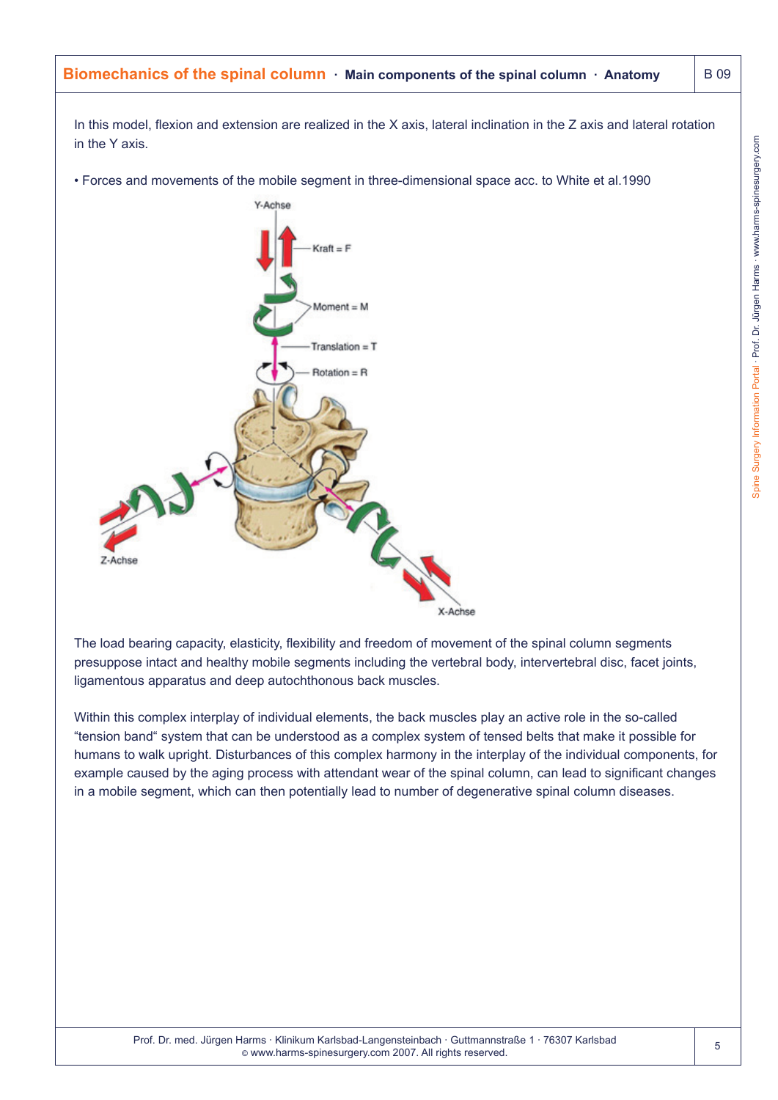In this model, flexion and extension are realized in the X axis, lateral inclination in the Z axis and lateral rotation in the Y axis.

• Forces and movements of the mobile segment in three-dimensional space acc. to White et al.1990



The load bearing capacity, elasticity, flexibility and freedom of movement of the spinal column segments presuppose intact and healthy mobile segments including the vertebral body, intervertebral disc, facet joints, ligamentous apparatus and deep autochthonous back muscles.

Within this complex interplay of individual elements, the back muscles play an active role in the so-called "tension band" system that can be understood as a complex system of tensed belts that make it possible for humans to walk upright. Disturbances of this complex harmony in the interplay of the individual components, for example caused by the aging process with attendant wear of the spinal column, can lead to significant changes in a mobile segment, which can then potentially lead to number of degenerative spinal column diseases.